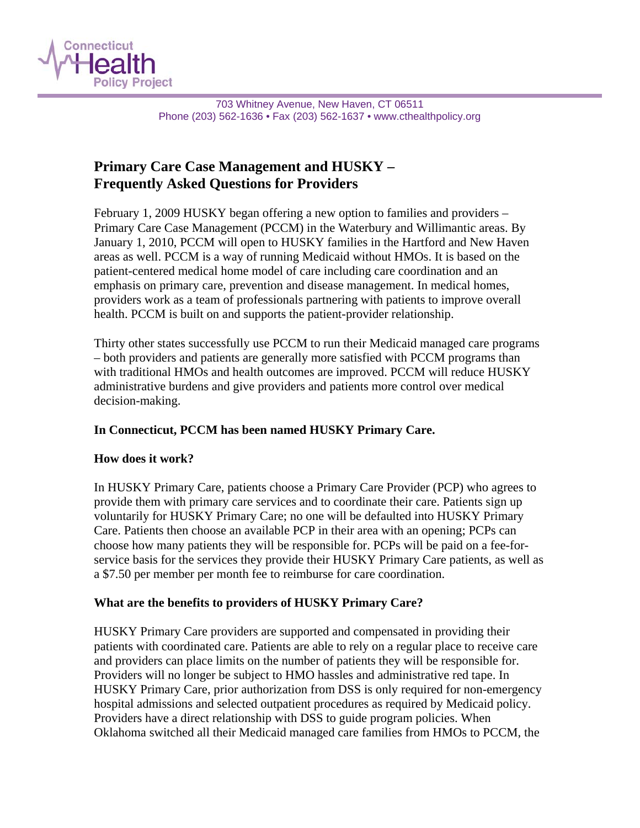

703 Whitney Avenue, New Haven, CT 06511 Phone (203) 562-1636 • Fax (203) 562-1637 • www.cthealthpolicy.org

# **Primary Care Case Management and HUSKY – Frequently Asked Questions for Providers**

February 1, 2009 HUSKY began offering a new option to families and providers – Primary Care Case Management (PCCM) in the Waterbury and Willimantic areas. By January 1, 2010, PCCM will open to HUSKY families in the Hartford and New Haven areas as well. PCCM is a way of running Medicaid without HMOs. It is based on the patient-centered medical home model of care including care coordination and an emphasis on primary care, prevention and disease management. In medical homes, providers work as a team of professionals partnering with patients to improve overall health. PCCM is built on and supports the patient-provider relationship.

Thirty other states successfully use PCCM to run their Medicaid managed care programs – both providers and patients are generally more satisfied with PCCM programs than with traditional HMOs and health outcomes are improved. PCCM will reduce HUSKY administrative burdens and give providers and patients more control over medical decision-making.

#### **In Connecticut, PCCM has been named HUSKY Primary Care.**

#### **How does it work?**

In HUSKY Primary Care, patients choose a Primary Care Provider (PCP) who agrees to provide them with primary care services and to coordinate their care. Patients sign up voluntarily for HUSKY Primary Care; no one will be defaulted into HUSKY Primary Care. Patients then choose an available PCP in their area with an opening; PCPs can choose how many patients they will be responsible for. PCPs will be paid on a fee-forservice basis for the services they provide their HUSKY Primary Care patients, as well as a \$7.50 per member per month fee to reimburse for care coordination.

#### **What are the benefits to providers of HUSKY Primary Care?**

HUSKY Primary Care providers are supported and compensated in providing their patients with coordinated care. Patients are able to rely on a regular place to receive care and providers can place limits on the number of patients they will be responsible for. Providers will no longer be subject to HMO hassles and administrative red tape. In HUSKY Primary Care, prior authorization from DSS is only required for non-emergency hospital admissions and selected outpatient procedures as required by Medicaid policy. Providers have a direct relationship with DSS to guide program policies. When Oklahoma switched all their Medicaid managed care families from HMOs to PCCM, the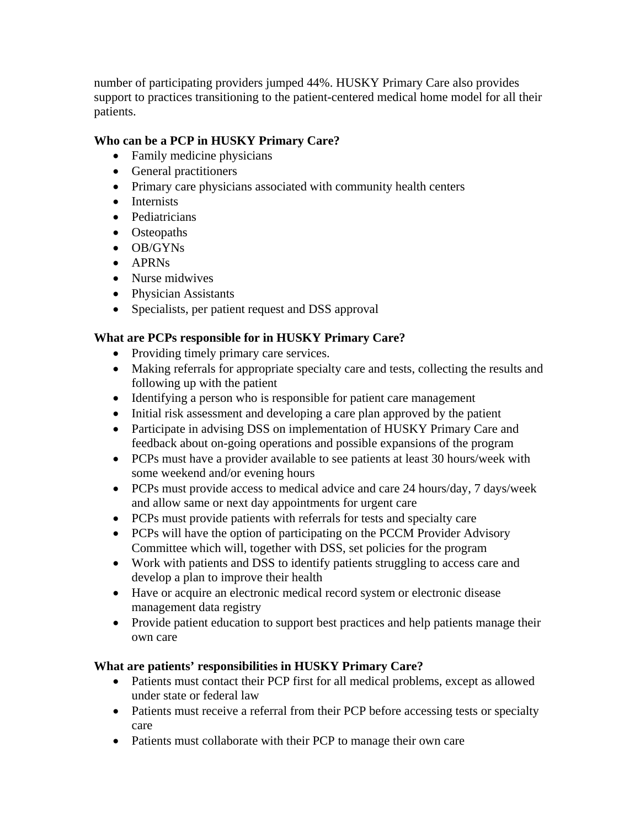number of participating providers jumped 44%. HUSKY Primary Care also provides support to practices transitioning to the patient-centered medical home model for all their patients.

## **Who can be a PCP in HUSKY Primary Care?**

- Family medicine physicians
- General practitioners
- Primary care physicians associated with community health centers
- Internists
- Pediatricians
- Osteopaths
- OB/GYNs
- APRNs
- Nurse midwives
- Physician Assistants
- Specialists, per patient request and DSS approval

### **What are PCPs responsible for in HUSKY Primary Care?**

- Providing timely primary care services.
- Making referrals for appropriate specialty care and tests, collecting the results and following up with the patient
- Identifying a person who is responsible for patient care management
- Initial risk assessment and developing a care plan approved by the patient
- Participate in advising DSS on implementation of HUSKY Primary Care and feedback about on-going operations and possible expansions of the program
- PCPs must have a provider available to see patients at least 30 hours/week with some weekend and/or evening hours
- PCPs must provide access to medical advice and care 24 hours/day, 7 days/week and allow same or next day appointments for urgent care
- PCPs must provide patients with referrals for tests and specialty care
- PCPs will have the option of participating on the PCCM Provider Advisory Committee which will, together with DSS, set policies for the program
- Work with patients and DSS to identify patients struggling to access care and develop a plan to improve their health
- Have or acquire an electronic medical record system or electronic disease management data registry
- Provide patient education to support best practices and help patients manage their own care

#### **What are patients' responsibilities in HUSKY Primary Care?**

- Patients must contact their PCP first for all medical problems, except as allowed under state or federal law
- Patients must receive a referral from their PCP before accessing tests or specialty care
- Patients must collaborate with their PCP to manage their own care